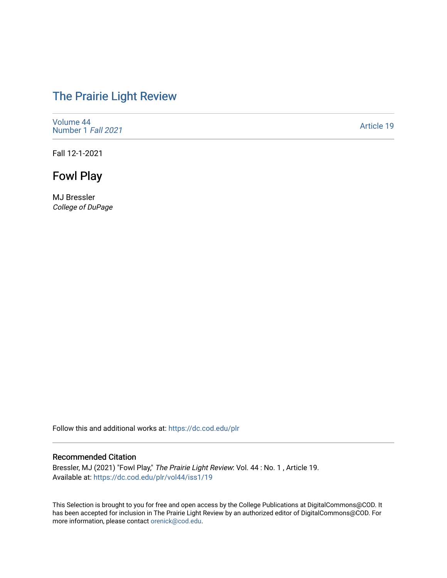# [The Prairie Light Review](https://dc.cod.edu/plr)

[Volume 44](https://dc.cod.edu/plr/vol44) [Number 1](https://dc.cod.edu/plr/vol44/iss1) Fall 2021

[Article 19](https://dc.cod.edu/plr/vol44/iss1/19) 

Fall 12-1-2021

Fowl Play

MJ Bressler College of DuPage

Follow this and additional works at: [https://dc.cod.edu/plr](https://dc.cod.edu/plr?utm_source=dc.cod.edu%2Fplr%2Fvol44%2Fiss1%2F19&utm_medium=PDF&utm_campaign=PDFCoverPages) 

#### Recommended Citation

Bressler, MJ (2021) "Fowl Play," The Prairie Light Review: Vol. 44: No. 1, Article 19. Available at: [https://dc.cod.edu/plr/vol44/iss1/19](https://dc.cod.edu/plr/vol44/iss1/19?utm_source=dc.cod.edu%2Fplr%2Fvol44%2Fiss1%2F19&utm_medium=PDF&utm_campaign=PDFCoverPages)

This Selection is brought to you for free and open access by the College Publications at DigitalCommons@COD. It has been accepted for inclusion in The Prairie Light Review by an authorized editor of DigitalCommons@COD. For more information, please contact [orenick@cod.edu.](mailto:orenick@cod.edu)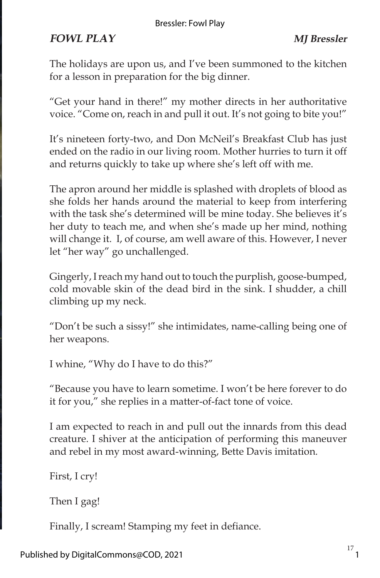#### Bressler: Fowl Play

## **FOWL PLAY MJ Bressler**

The holidays are upon us, and I've been summoned to the kitchen for a lesson in preparation for the big dinner.

"Get your hand in there!" my mother directs in her authoritative voice. "Come on, reach in and pull it out. It's not going to bite you!"

It's nineteen forty-two, and Don McNeil's Breakfast Club has just ended on the radio in our living room. Mother hurries to turn it off and returns quickly to take up where she's left off with me.

The apron around her middle is splashed with droplets of blood as she folds her hands around the material to keep from interfering with the task she's determined will be mine today. She believes it's her duty to teach me, and when she's made up her mind, nothing will change it. I, of course, am well aware of this. However, I never let "her way" go unchallenged.

Gingerly, I reach my hand out to touch the purplish, goose-bumped, cold movable skin of the dead bird in the sink. I shudder, a chill climbing up my neck.

"Don't be such a sissy!" she intimidates, name-calling being one of her weapons.

I whine, "Why do I have to do this?"

"Because you have to learn sometime. I won't be here forever to do it for you," she replies in a matter-of-fact tone of voice.

I am expected to reach in and pull out the innards from this dead creature. I shiver at the anticipation of performing this maneuver and rebel in my most award-winning, Bette Davis imitation.

First, I cry!

Then I gag!

Finally, I scream! Stamping my feet in defiance.